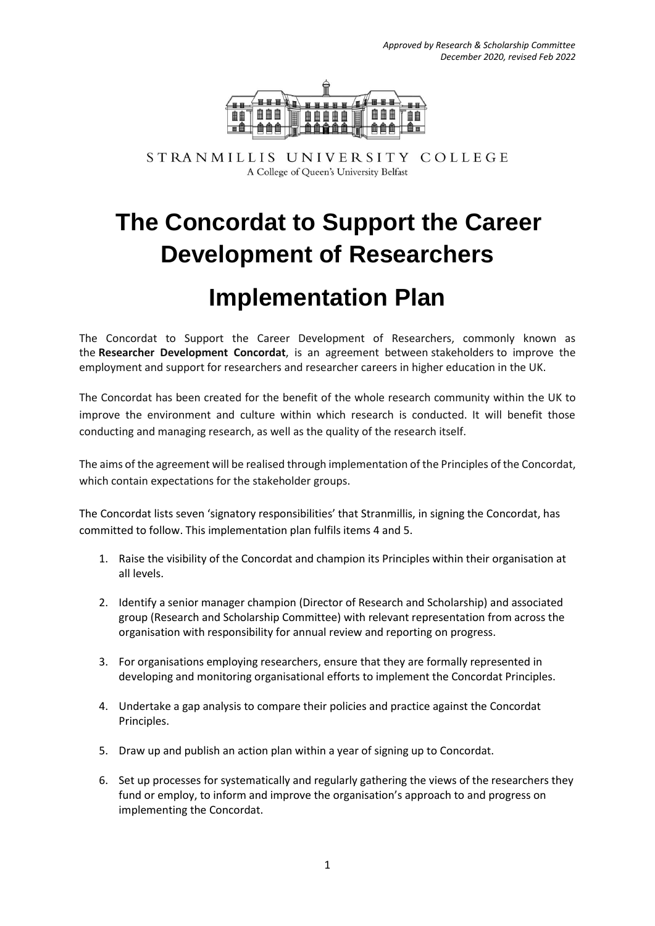

STRANMILLIS UNIVERSITY COLLEGE A College of Queen's University Belfast

# **The Concordat to Support the Career Development of Researchers**

## **Implementation Plan**

The Concordat to Support the Career Development of Researchers, commonly known as the **Researcher Development Concordat**, is an agreement between stakeholders to improve the employment and support for researchers and researcher careers in higher education in the UK.

The Concordat has been created for the benefit of the whole research community within the UK to improve the environment and culture within which research is conducted. It will benefit those conducting and managing research, as well as the quality of the research itself.

The aims of the agreement will be realised through implementation of the Principles of the Concordat, which contain expectations for the stakeholder groups.

The Concordat lists seven 'signatory responsibilities' that Stranmillis, in signing the Concordat, has committed to follow. This implementation plan fulfils items 4 and 5.

- 1. Raise the visibility of the Concordat and champion its Principles within their organisation at all levels.
- 2. Identify a senior manager champion (Director of Research and Scholarship) and associated group (Research and Scholarship Committee) with relevant representation from across the organisation with responsibility for annual review and reporting on progress.
- 3. For organisations employing researchers, ensure that they are formally represented in developing and monitoring organisational efforts to implement the Concordat Principles.
- 4. Undertake a gap analysis to compare their policies and practice against the Concordat Principles.
- 5. Draw up and publish an action plan within a year of signing up to Concordat.
- 6. Set up processes for systematically and regularly gathering the views of the researchers they fund or employ, to inform and improve the organisation's approach to and progress on implementing the Concordat.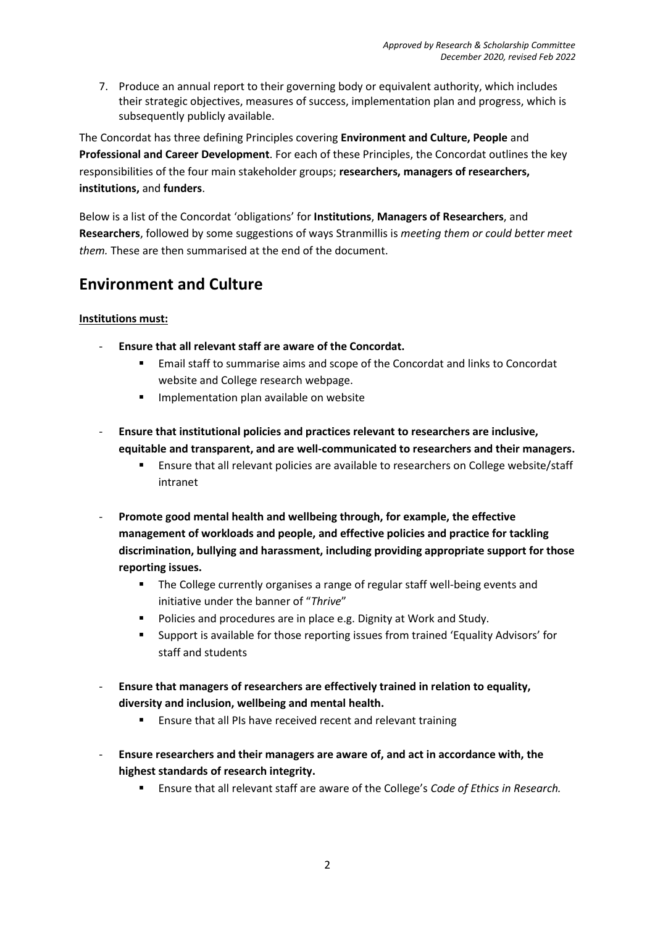7. Produce an annual report to their governing body or equivalent authority, which includes their strategic objectives, measures of success, implementation plan and progress, which is subsequently publicly available.

The Concordat has three defining Principles covering **Environment and Culture, People** and **Professional and Career Development**. For each of these Principles, the Concordat outlines the key responsibilities of the four main stakeholder groups; **researchers, managers of researchers, institutions,** and **funders**.

Below is a list of the Concordat 'obligations' for **Institutions**, **Managers of Researchers**, and **Researchers**, followed by some suggestions of ways Stranmillis is *meeting them or could better meet them.* These are then summarised at the end of the document.

### **Environment and Culture**

#### **Institutions must:**

- **Ensure that all relevant staff are aware of the Concordat.**
	- Email staff to summarise aims and scope of the Concordat and links to Concordat website and College research webpage.
	- Implementation plan available on website
- **Ensure that institutional policies and practices relevant to researchers are inclusive, equitable and transparent, and are well-communicated to researchers and their managers.** 
	- Ensure that all relevant policies are available to researchers on College website/staff intranet
- Promote good mental health and wellbeing through, for example, the effective **management of workloads and people, and effective policies and practice for tackling discrimination, bullying and harassment, including providing appropriate support for those reporting issues.**
	- **The College currently organises a range of regular staff well-being events and** initiative under the banner of "*Thrive*"
	- Policies and procedures are in place e.g. Dignity at Work and Study.
	- Support is available for those reporting issues from trained 'Equality Advisors' for staff and students
- **Ensure that managers of researchers are effectively trained in relation to equality, diversity and inclusion, wellbeing and mental health.** 
	- Ensure that all PIs have received recent and relevant training
- **Ensure researchers and their managers are aware of, and act in accordance with, the highest standards of research integrity.**
	- Ensure that all relevant staff are aware of the College's *Code of Ethics in Research.*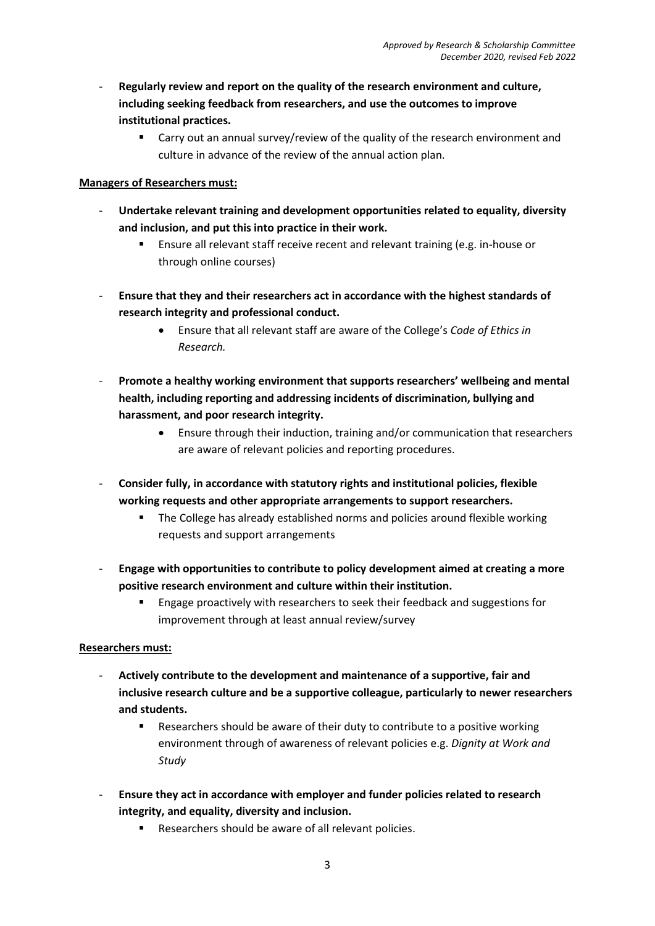- **Regularly review and report on the quality of the research environment and culture, including seeking feedback from researchers, and use the outcomes to improve institutional practices.**
	- **EXTER 2018 Carry out an annual survey/review of the quality of the research environment and** culture in advance of the review of the annual action plan.

#### **Managers of Researchers must:**

- **Undertake relevant training and development opportunities related to equality, diversity and inclusion, and put this into practice in their work.**
	- Ensure all relevant staff receive recent and relevant training (e.g. in-house or through online courses)
- **Ensure that they and their researchers act in accordance with the highest standards of research integrity and professional conduct.**
	- Ensure that all relevant staff are aware of the College's *Code of Ethics in Research.*
- **Promote a healthy working environment that supports researchers' wellbeing and mental health, including reporting and addressing incidents of discrimination, bullying and harassment, and poor research integrity.**
	- Ensure through their induction, training and/or communication that researchers are aware of relevant policies and reporting procedures.
- **Consider fully, in accordance with statutory rights and institutional policies, flexible working requests and other appropriate arrangements to support researchers.** 
	- The College has already established norms and policies around flexible working requests and support arrangements
- **Engage with opportunities to contribute to policy development aimed at creating a more positive research environment and culture within their institution.**
	- Engage proactively with researchers to seek their feedback and suggestions for improvement through at least annual review/survey

#### **Researchers must:**

- **Actively contribute to the development and maintenance of a supportive, fair and inclusive research culture and be a supportive colleague, particularly to newer researchers and students.**
	- **EXE** Researchers should be aware of their duty to contribute to a positive working environment through of awareness of relevant policies e.g. *Dignity at Work and Study*
- **Ensure they act in accordance with employer and funder policies related to research integrity, and equality, diversity and inclusion.**
	- **Researchers should be aware of all relevant policies.**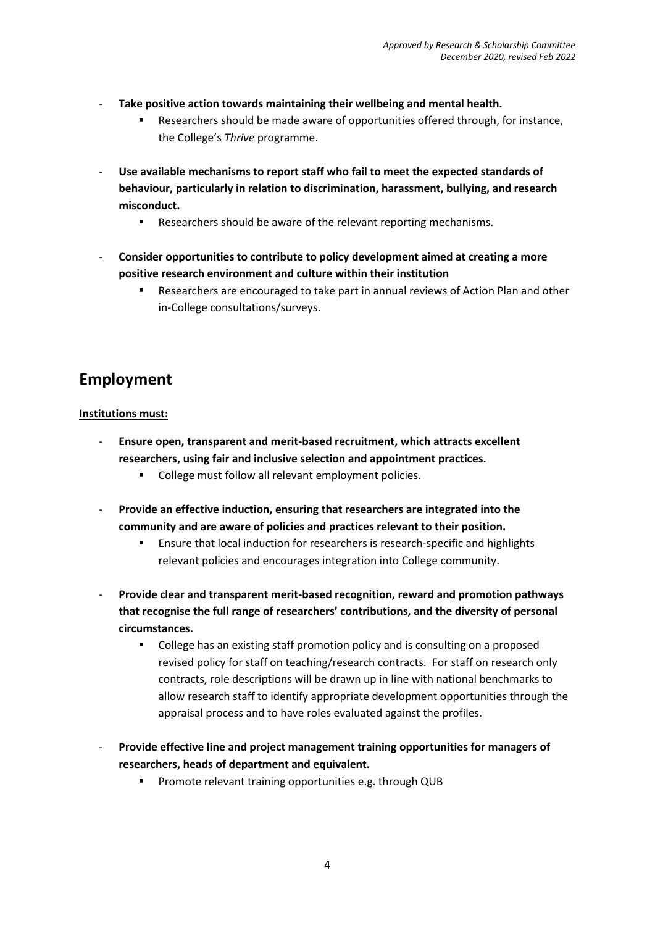- Take positive action towards maintaining their wellbeing and mental health.
	- Researchers should be made aware of opportunities offered through, for instance, the College's *Thrive* programme.
- Use available mechanisms to report staff who fail to meet the expected standards of **behaviour, particularly in relation to discrimination, harassment, bullying, and research misconduct.**
	- **Researchers should be aware of the relevant reporting mechanisms.**
- **Consider opportunities to contribute to policy development aimed at creating a more positive research environment and culture within their institution**
	- Researchers are encouraged to take part in annual reviews of Action Plan and other in-College consultations/surveys.

## **Employment**

#### **Institutions must:**

- **Ensure open, transparent and merit-based recruitment, which attracts excellent researchers, using fair and inclusive selection and appointment practices.**
	- College must follow all relevant employment policies.
- Provide an effective induction, ensuring that researchers are integrated into the **community and are aware of policies and practices relevant to their position.**
	- Ensure that local induction for researchers is research-specific and highlights relevant policies and encourages integration into College community.
- **Provide clear and transparent merit-based recognition, reward and promotion pathways that recognise the full range of researchers' contributions, and the diversity of personal circumstances.** 
	- College has an existing staff promotion policy and is consulting on a proposed revised policy for staff on teaching/research contracts. For staff on research only contracts, role descriptions will be drawn up in line with national benchmarks to allow research staff to identify appropriate development opportunities through the appraisal process and to have roles evaluated against the profiles.
- **Provide effective line and project management training opportunities for managers of researchers, heads of department and equivalent.**
	- Promote relevant training opportunities e.g. through QUB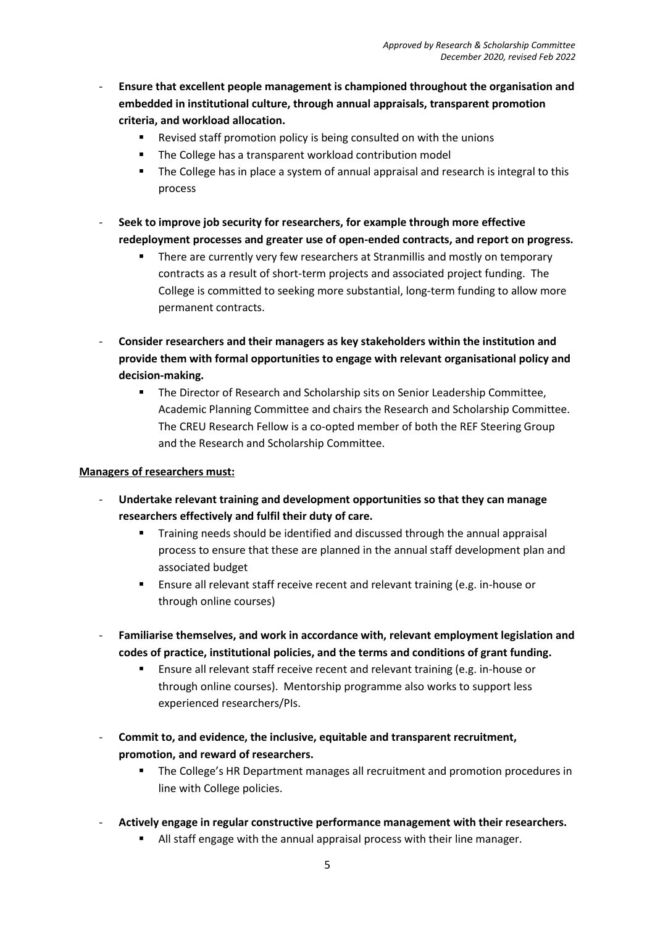- **Ensure that excellent people management is championed throughout the organisation and embedded in institutional culture, through annual appraisals, transparent promotion criteria, and workload allocation.**
	- Revised staff promotion policy is being consulted on with the unions
	- The College has a transparent workload contribution model
	- The College has in place a system of annual appraisal and research is integral to this process
- **Seek to improve job security for researchers, for example through more effective redeployment processes and greater use of open-ended contracts, and report on progress.**
	- There are currently very few researchers at Stranmillis and mostly on temporary contracts as a result of short-term projects and associated project funding. The College is committed to seeking more substantial, long-term funding to allow more permanent contracts.
- **Consider researchers and their managers as key stakeholders within the institution and provide them with formal opportunities to engage with relevant organisational policy and decision-making.**
	- **The Director of Research and Scholarship sits on Senior Leadership Committee,** Academic Planning Committee and chairs the Research and Scholarship Committee. The CREU Research Fellow is a co-opted member of both the REF Steering Group and the Research and Scholarship Committee.

#### **Managers of researchers must:**

- **Undertake relevant training and development opportunities so that they can manage researchers effectively and fulfil their duty of care.**
	- Training needs should be identified and discussed through the annual appraisal process to ensure that these are planned in the annual staff development plan and associated budget
	- Ensure all relevant staff receive recent and relevant training (e.g. in-house or through online courses)
- **Familiarise themselves, and work in accordance with, relevant employment legislation and codes of practice, institutional policies, and the terms and conditions of grant funding.**
	- Ensure all relevant staff receive recent and relevant training (e.g. in-house or through online courses). Mentorship programme also works to support less experienced researchers/PIs.
- **Commit to, and evidence, the inclusive, equitable and transparent recruitment, promotion, and reward of researchers.**
	- **The College's HR Department manages all recruitment and promotion procedures in** line with College policies.
- **Actively engage in regular constructive performance management with their researchers.**
	- All staff engage with the annual appraisal process with their line manager.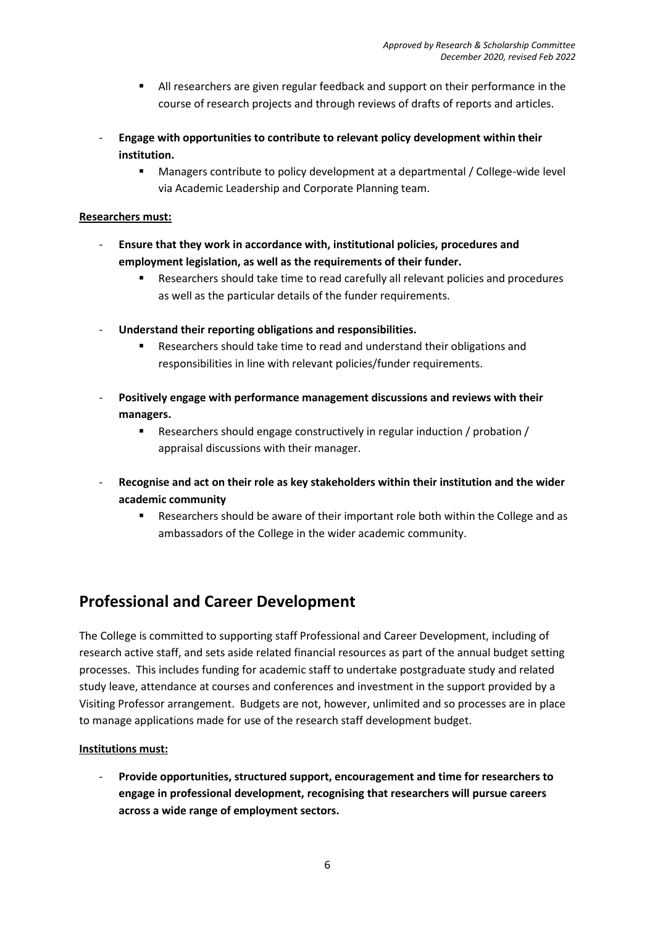- All researchers are given regular feedback and support on their performance in the course of research projects and through reviews of drafts of reports and articles.
- **Engage with opportunities to contribute to relevant policy development within their institution.**
	- Managers contribute to policy development at a departmental / College-wide level via Academic Leadership and Corporate Planning team.

#### **Researchers must:**

- **Ensure that they work in accordance with, institutional policies, procedures and employment legislation, as well as the requirements of their funder.**
	- Researchers should take time to read carefully all relevant policies and procedures as well as the particular details of the funder requirements.
- **Understand their reporting obligations and responsibilities.**
	- Researchers should take time to read and understand their obligations and responsibilities in line with relevant policies/funder requirements.
- **Positively engage with performance management discussions and reviews with their managers.**
	- Researchers should engage constructively in regular induction / probation / appraisal discussions with their manager.
- **Recognise and act on their role as key stakeholders within their institution and the wider academic community**
	- Researchers should be aware of their important role both within the College and as ambassadors of the College in the wider academic community.

### **Professional and Career Development**

The College is committed to supporting staff Professional and Career Development, including of research active staff, and sets aside related financial resources as part of the annual budget setting processes. This includes funding for academic staff to undertake postgraduate study and related study leave, attendance at courses and conferences and investment in the support provided by a Visiting Professor arrangement. Budgets are not, however, unlimited and so processes are in place to manage applications made for use of the research staff development budget.

#### **Institutions must:**

- **Provide opportunities, structured support, encouragement and time for researchers to engage in professional development, recognising that researchers will pursue careers across a wide range of employment sectors.**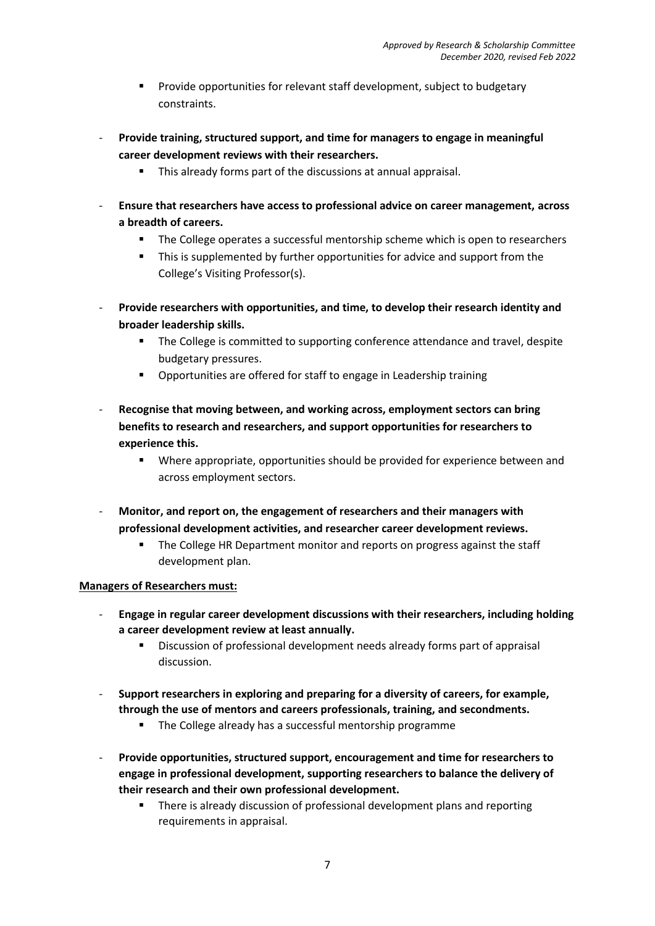- Provide opportunities for relevant staff development, subject to budgetary constraints.
- **Provide training, structured support, and time for managers to engage in meaningful career development reviews with their researchers.**
	- This already forms part of the discussions at annual appraisal.
- **Ensure that researchers have access to professional advice on career management, across a breadth of careers.**
	- The College operates a successful mentorship scheme which is open to researchers
	- **This is supplemented by further opportunities for advice and support from the** College's Visiting Professor(s).
- **Provide researchers with opportunities, and time, to develop their research identity and broader leadership skills.** 
	- **The College is committed to supporting conference attendance and travel, despite** budgetary pressures.
	- Opportunities are offered for staff to engage in Leadership training
- **Recognise that moving between, and working across, employment sectors can bring benefits to research and researchers, and support opportunities for researchers to experience this.** 
	- Where appropriate, opportunities should be provided for experience between and across employment sectors.
- **Monitor, and report on, the engagement of researchers and their managers with professional development activities, and researcher career development reviews.**
	- **The College HR Department monitor and reports on progress against the staff** development plan.

#### **Managers of Researchers must:**

- **Engage in regular career development discussions with their researchers, including holding a career development review at least annually.**
	- Discussion of professional development needs already forms part of appraisal discussion.
- **Support researchers in exploring and preparing for a diversity of careers, for example, through the use of mentors and careers professionals, training, and secondments.** 
	- The College already has a successful mentorship programme
- **Provide opportunities, structured support, encouragement and time for researchers to engage in professional development, supporting researchers to balance the delivery of their research and their own professional development.**
	- There is already discussion of professional development plans and reporting requirements in appraisal.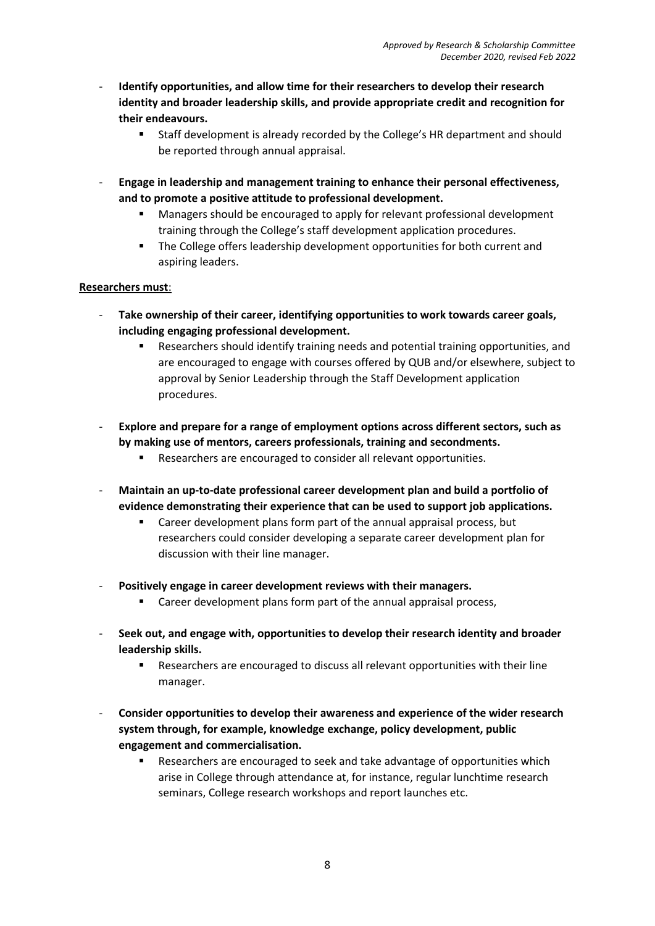- **Identify opportunities, and allow time for their researchers to develop their research identity and broader leadership skills, and provide appropriate credit and recognition for their endeavours.** 
	- Staff development is already recorded by the College's HR department and should be reported through annual appraisal.
- **Engage in leadership and management training to enhance their personal effectiveness, and to promote a positive attitude to professional development.**
	- Managers should be encouraged to apply for relevant professional development training through the College's staff development application procedures.
	- The College offers leadership development opportunities for both current and aspiring leaders.

#### **Researchers must**:

- Take ownership of their career, identifying opportunities to work towards career goals, **including engaging professional development.**
	- Researchers should identify training needs and potential training opportunities, and are encouraged to engage with courses offered by QUB and/or elsewhere, subject to approval by Senior Leadership through the Staff Development application procedures.
- **Explore and prepare for a range of employment options across different sectors, such as by making use of mentors, careers professionals, training and secondments.**
	- **Researchers are encouraged to consider all relevant opportunities.**
- **Maintain an up-to-date professional career development plan and build a portfolio of evidence demonstrating their experience that can be used to support job applications.**
	- Career development plans form part of the annual appraisal process, but researchers could consider developing a separate career development plan for discussion with their line manager.
- **Positively engage in career development reviews with their managers.**
	- **EXP** Career development plans form part of the annual appraisal process,
- **Seek out, and engage with, opportunities to develop their research identity and broader leadership skills.**
	- Researchers are encouraged to discuss all relevant opportunities with their line manager.
- **Consider opportunities to develop their awareness and experience of the wider research system through, for example, knowledge exchange, policy development, public engagement and commercialisation.**
	- **Researchers are encouraged to seek and take advantage of opportunities which** arise in College through attendance at, for instance, regular lunchtime research seminars, College research workshops and report launches etc.